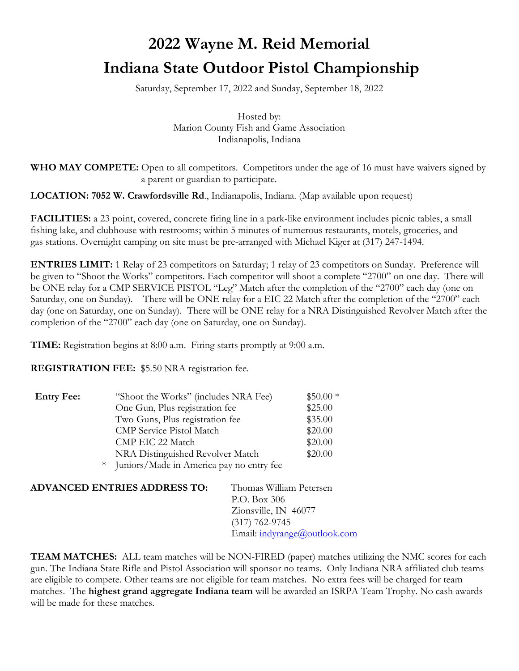# **2022 Wayne M. Reid Memorial Indiana State Outdoor Pistol Championship**

Saturday, September 17, 2022 and Sunday, September 18, 2022

Hosted by: Marion County Fish and Game Association Indianapolis, Indiana

**WHO MAY COMPETE:** Open to all competitors. Competitors under the age of 16 must have waivers signed by a parent or guardian to participate.

**LOCATION: 7052 W. Crawfordsville Rd**., Indianapolis, Indiana. (Map available upon request)

**FACILITIES:** a 23 point, covered, concrete firing line in a park-like environment includes picnic tables, a small fishing lake, and clubhouse with restrooms; within 5 minutes of numerous restaurants, motels, groceries, and gas stations. Overnight camping on site must be pre-arranged with Michael Kiger at (317) 247-1494.

**ENTRIES LIMIT:** 1 Relay of 23 competitors on Saturday; 1 relay of 23 competitors on Sunday. Preference will be given to "Shoot the Works" competitors. Each competitor will shoot a complete "2700" on one day. There will be ONE relay for a CMP SERVICE PISTOL "Leg" Match after the completion of the "2700" each day (one on Saturday, one on Sunday). There will be ONE relay for a EIC 22 Match after the completion of the "2700" each day (one on Saturday, one on Sunday). There will be ONE relay for a NRA Distinguished Revolver Match after the completion of the "2700" each day (one on Saturday, one on Sunday).

**TIME:** Registration begins at 8:00 a.m. Firing starts promptly at 9:00 a.m.

**REGISTRATION FEE:** \$5.50 NRA registration fee.

| <b>Entry Fee:</b> | "Shoot the Works" (includes NRA Fee)       | $$50.00*$ |
|-------------------|--------------------------------------------|-----------|
|                   | One Gun, Plus registration fee             | \$25.00   |
|                   | Two Guns, Plus registration fee            | \$35.00   |
|                   | <b>CMP</b> Service Pistol Match            | \$20.00   |
|                   | CMP EIC 22 Match                           | \$20.00   |
|                   | NRA Distinguished Revolver Match           | \$20.00   |
|                   | * Juniors/Made in America pay no entry fee |           |

| <b>ADVANCED ENTRIES ADDRESS TO:</b> | Thomas William Petersen             |
|-------------------------------------|-------------------------------------|
|                                     | P.O. Box 306                        |
|                                     | Zionsville, IN 46077                |
|                                     | $(317)$ 762-9745                    |
|                                     | Email: <i>indyrange@outlook.com</i> |
|                                     |                                     |

**TEAM MATCHES:** ALL team matches will be NON-FIRED (paper) matches utilizing the NMC scores for each gun. The Indiana State Rifle and Pistol Association will sponsor no teams. Only Indiana NRA affiliated club teams are eligible to compete. Other teams are not eligible for team matches. No extra fees will be charged for team matches. The **highest grand aggregate Indiana team** will be awarded an ISRPA Team Trophy. No cash awards will be made for these matches.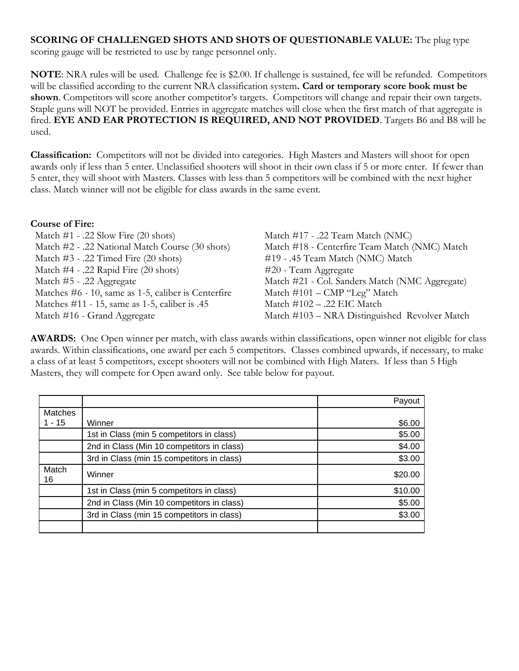## **SCORING OF CHALLENGED SHOTS AND SHOTS OF QUESTIONABLE VALUE:** The plug type

scoring gauge will be restricted to use by range personnel only.

**NOTE**: NRA rules will be used. Challenge fee is \$2.00. If challenge is sustained, fee will be refunded. Competitors will be classified according to the current NRA classification system**. Card or temporary score book must be**  shown. Competitors will score another competitor's targets. Competitors will change and repair their own targets. Staple guns will NOT be provided. Entries in aggregate matches will close when the first match of that aggregate is fired. **EYE AND EAR PROTECTION IS REQUIRED, AND NOT PROVIDED**. Targets B6 and B8 will be used.

**Classification:** Competitors will not be divided into categories. High Masters and Masters will shoot for open awards only if less than 5 enter. Unclassified shooters will shoot in their own class if 5 or more enter. If fewer than 5 enter, they will shoot with Masters. Classes with less than 5 competitors will be combined with the next higher class. Match winner will not be eligible for class awards in the same event.

#### **Course of Fire:**

Match #1 - .22 Slow Fire (20 shots) Match #17 - .22 Team Match (NMC) Match #3 - .22 Timed Fire (20 shots) #19 - .45 Team Match (NMC) Match Match #4 - .22 Rapid Fire (20 shots) #20 - Team Aggregate Matches #6 - 10, same as 1-5, caliber is Centerfire Match #101 – CMP "Leg" Match Matches #11 - 15, same as 1-5, caliber is .45 Match #102 - .22 EIC Match

Match #2 - .22 National Match Course (30 shots) Match #18 - Centerfire Team Match (NMC) Match Match #5 - .22 Aggregate Match #21 - Col. Sanders Match (NMC Aggregate) Match #16 - Grand Aggregate Match #103 – NRA Distinguished Revolver Match

**AWARDS:** One Open winner per match, with class awards within classifications, open winner not eligible for class awards. Within classifications, one award per each 5 competitors. Classes combined upwards, if necessary, to make a class of at least 5 competitors, except shooters will not be combined with High Maters. If less than 5 High Masters, they will compete for Open award only. See table below for payout.

|             |                                            | Payout  |
|-------------|--------------------------------------------|---------|
| Matches     |                                            |         |
| $1 - 15$    | Winner                                     | \$6.00  |
|             | 1st in Class (min 5 competitors in class)  | \$5.00  |
|             | 2nd in Class (Min 10 competitors in class) | \$4.00  |
|             | 3rd in Class (min 15 competitors in class) | \$3.00  |
| Match<br>16 | Winner                                     | \$20.00 |
|             | 1st in Class (min 5 competitors in class)  | \$10.00 |
|             | 2nd in Class (Min 10 competitors in class) | \$5.00  |
|             | 3rd in Class (min 15 competitors in class) | \$3.00  |
|             |                                            |         |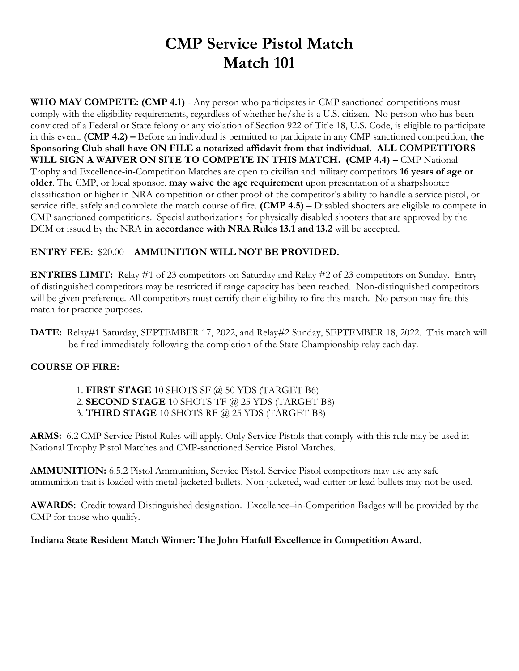# **CMP Service Pistol Match Match 101**

**WHO MAY COMPETE: (CMP 4.1)** - Any person who participates in CMP sanctioned competitions must comply with the eligibility requirements, regardless of whether he/she is a U.S. citizen. No person who has been convicted of a Federal or State felony or any violation of Section 922 of Title 18, U.S. Code, is eligible to participate in this event. **(CMP 4.2) –** Before an individual is permitted to participate in any CMP sanctioned competition, **the Sponsoring Club shall have ON FILE a notarized affidavit from that individual. ALL COMPETITORS WILL SIGN A WAIVER ON SITE TO COMPETE IN THIS MATCH. (CMP 4.4) –** CMP National Trophy and Excellence-in-Competition Matches are open to civilian and military competitors **16 years of age or older**. The CMP, or local sponsor, **may waive the age requirement** upon presentation of a sharpshooter classification or higher in NRA competition or other proof of the competitor's ability to handle a service pistol, or service rifle, safely and complete the match course of fire. **(CMP 4.5)** – Disabled shooters are eligible to compete in CMP sanctioned competitions. Special authorizations for physically disabled shooters that are approved by the DCM or issued by the NRA **in accordance with NRA Rules 13.1 and 13.2** will be accepted.

### **ENTRY FEE:** \$20.00 **AMMUNITION WILL NOT BE PROVIDED.**

**ENTRIES LIMIT:** Relay #1 of 23 competitors on Saturday and Relay #2 of 23 competitors on Sunday. Entry of distinguished competitors may be restricted if range capacity has been reached. Non-distinguished competitors will be given preference. All competitors must certify their eligibility to fire this match. No person may fire this match for practice purposes.

**DATE:** Relay#1 Saturday, SEPTEMBER 17, 2022, and Relay#2 Sunday, SEPTEMBER 18, 2022. This match will be fired immediately following the completion of the State Championship relay each day.

### **COURSE OF FIRE:**

1. **FIRST STAGE** 10 SHOTS SF @ 50 YDS (TARGET B6) 2. **SECOND STAGE** 10 SHOTS TF @ 25 YDS (TARGET B8) 3. **THIRD STAGE** 10 SHOTS RF @ 25 YDS (TARGET B8)

**ARMS:** 6.2 CMP Service Pistol Rules will apply. Only Service Pistols that comply with this rule may be used in National Trophy Pistol Matches and CMP-sanctioned Service Pistol Matches.

**AMMUNITION:** 6.5.2 Pistol Ammunition, Service Pistol. Service Pistol competitors may use any safe ammunition that is loaded with metal-jacketed bullets. Non-jacketed, wad-cutter or lead bullets may not be used.

**AWARDS:** Credit toward Distinguished designation. Excellence–in-Competition Badges will be provided by the CMP for those who qualify.

### **Indiana State Resident Match Winner: The John Hatfull Excellence in Competition Award**.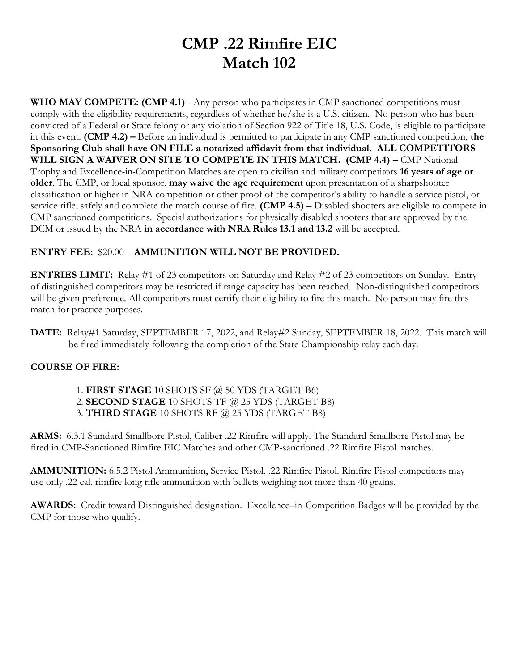# **CMP .22 Rimfire EIC Match 102**

**WHO MAY COMPETE: (CMP 4.1)** - Any person who participates in CMP sanctioned competitions must comply with the eligibility requirements, regardless of whether he/she is a U.S. citizen. No person who has been convicted of a Federal or State felony or any violation of Section 922 of Title 18, U.S. Code, is eligible to participate in this event. **(CMP 4.2) –** Before an individual is permitted to participate in any CMP sanctioned competition, **the Sponsoring Club shall have ON FILE a notarized affidavit from that individual. ALL COMPETITORS WILL SIGN A WAIVER ON SITE TO COMPETE IN THIS MATCH. (CMP 4.4) –** CMP National Trophy and Excellence-in-Competition Matches are open to civilian and military competitors **16 years of age or older**. The CMP, or local sponsor, **may waive the age requirement** upon presentation of a sharpshooter classification or higher in NRA competition or other proof of the competitor's ability to handle a service pistol, or service rifle, safely and complete the match course of fire. **(CMP 4.5)** – Disabled shooters are eligible to compete in CMP sanctioned competitions. Special authorizations for physically disabled shooters that are approved by the DCM or issued by the NRA **in accordance with NRA Rules 13.1 and 13.2** will be accepted.

### **ENTRY FEE:** \$20.00 **AMMUNITION WILL NOT BE PROVIDED.**

**ENTRIES LIMIT:** Relay #1 of 23 competitors on Saturday and Relay #2 of 23 competitors on Sunday. Entry of distinguished competitors may be restricted if range capacity has been reached. Non-distinguished competitors will be given preference. All competitors must certify their eligibility to fire this match. No person may fire this match for practice purposes.

**DATE:** Relay#1 Saturday, SEPTEMBER 17, 2022, and Relay#2 Sunday, SEPTEMBER 18, 2022. This match will be fired immediately following the completion of the State Championship relay each day.

### **COURSE OF FIRE:**

1. **FIRST STAGE** 10 SHOTS SF @ 50 YDS (TARGET B6) 2. **SECOND STAGE** 10 SHOTS TF @ 25 YDS (TARGET B8)

3. **THIRD STAGE** 10 SHOTS RF @ 25 YDS (TARGET B8)

**ARMS:** 6.3.1 Standard Smallbore Pistol, Caliber .22 Rimfire will apply. The Standard Smallbore Pistol may be fired in CMP-Sanctioned Rimfire EIC Matches and other CMP-sanctioned .22 Rimfire Pistol matches.

**AMMUNITION:** 6.5.2 Pistol Ammunition, Service Pistol. .22 Rimfire Pistol. Rimfire Pistol competitors may use only .22 cal. rimfire long rifle ammunition with bullets weighing not more than 40 grains.

**AWARDS:** Credit toward Distinguished designation. Excellence–in-Competition Badges will be provided by the CMP for those who qualify.